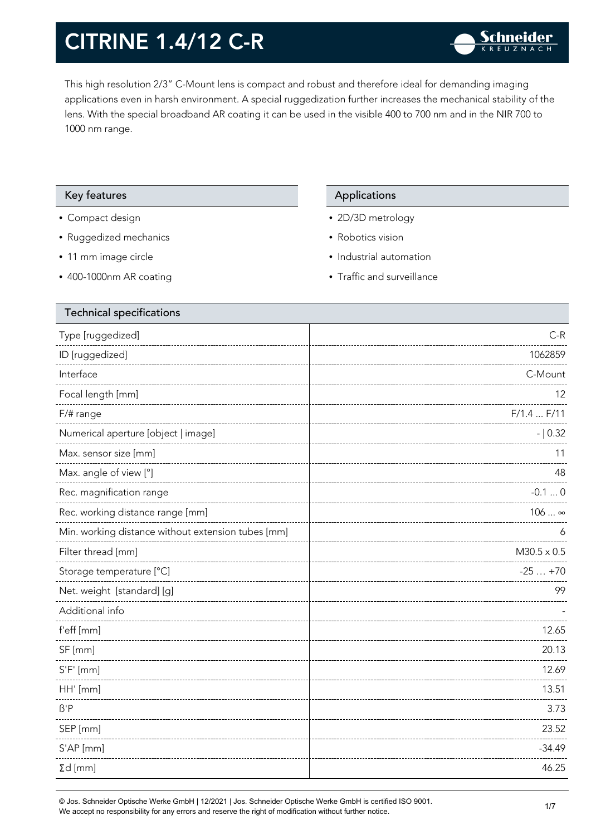This high resolution 2/3" C-Mount lens is compact and robust and therefore ideal for demanding imaging applications even in harsh environment. A special ruggedization further increases the mechanical stability of the lens. With the special broadband AR coating it can be used in the visible 400 to 700 nm and in the NIR 700 to 1000 nm range.

#### Key features **Applications** Applications

- Compact design
- Ruggedized mechanics
- 11 mm image circle
- 400-1000nm AR coating

- 2D/3D metrology
- Robotics vision
- Industrial automation
- Traffic and surveillance

| <b>Technical specifications</b>                    |                    |
|----------------------------------------------------|--------------------|
| Type [ruggedized]                                  | $C-R$              |
| ID [ruggedized]                                    | 1062859            |
| Interface                                          | C-Mount            |
| Focal length [mm]                                  | 12                 |
| F/# range                                          | F/1.4 F/11         |
| Numerical aperture [object   image]                | $- 0.32$           |
| Max. sensor size [mm]                              | 11                 |
| Max. angle of view [°]                             | 48                 |
| Rec. magnification range                           | $-0.10$            |
| Rec. working distance range [mm]                   | $106 \infty$       |
| Min. working distance without extension tubes [mm] | 6                  |
| Filter thread [mm]                                 | $M30.5 \times 0.5$ |
| Storage temperature [°C]                           | $-25+70$           |
| Net. weight [standard] [g]                         | 99                 |
| Additional info                                    |                    |
| f'eff [mm]                                         | 12.65              |
| SF [mm]                                            | 20.13              |
| $S'F'$ [mm]                                        | 12.69              |
| HH' [mm]                                           | 13.51              |
| $\beta'$ P                                         | 3.73               |
| SEP [mm]                                           | 23.52              |
| S'AP [mm]                                          | $-34.49$           |
| $\Sigma d$ [mm]                                    | 46.25              |
|                                                    |                    |

© Jos. Schneider Optische Werke GmbH | 12/2021 | Jos. Schneider Optische Werke GmbH is certified ISO 9001. We accept no responsibility for any errors and reserve the right of modification without further notice.<br>We accept no responsibility for any errors and reserve the right of modification without further notice.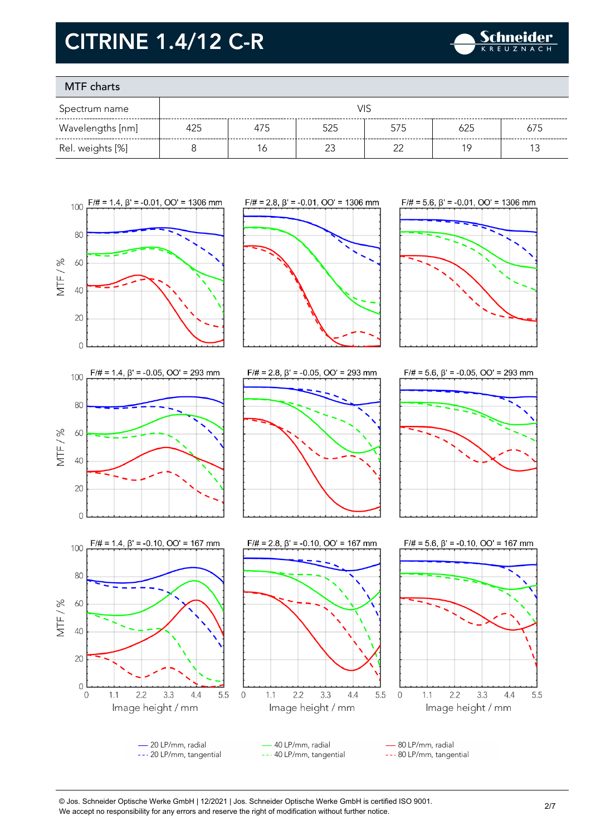

### MTF charts

| Spectrum name    | VIS |     |     |     |     |     |
|------------------|-----|-----|-----|-----|-----|-----|
| Wavelengths [nm] | 425 | 475 | 525 | 575 | 625 | 675 |
| Rel. weights [%] |     | ĥ   |     |     | 1 C |     |



© Jos. Schneider Optische Werke GmbH | 12/2021 | Jos. Schneider Optische Werke GmbH is certified ISO 9001. We accept no responsibility for any errors and reserve the right of modification without further notice.<br>We accept no responsibility for any errors and reserve the right of modification without further notice.

5.5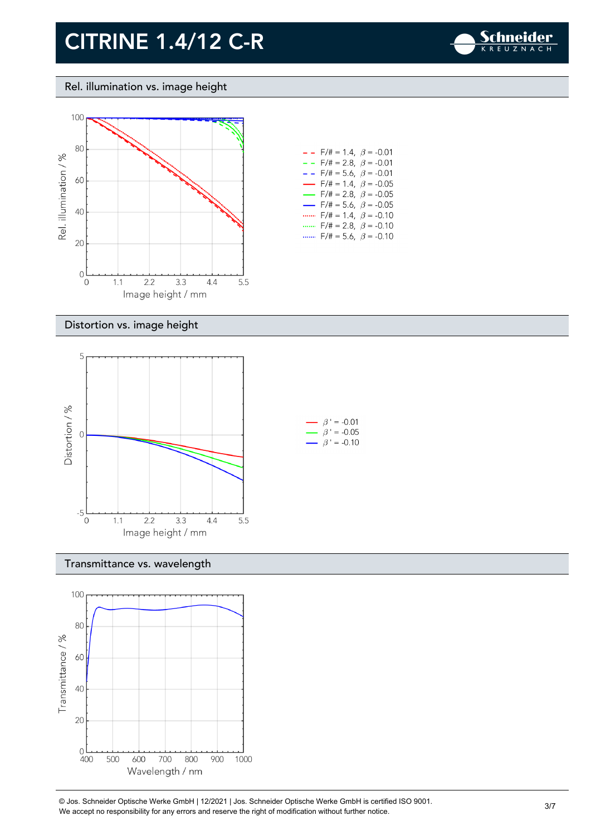

Rel. illumination vs. image height



| $- -$ F/# = 1.4, $\beta$ = -0.01         |
|------------------------------------------|
| $- -$ F/# = 2.8, $\beta$ = -0.01         |
| $- -$ F/# = 5.6, $\beta$ = -0.01         |
| $\rightarrow$ F/# = 1.4, $\beta$ = -0.05 |
| $\rightarrow$ F/# = 2.8, $\beta$ = -0.05 |
| $\rightarrow$ F/# = 5.6, $\beta$ = -0.05 |
| $F/\ddot{t} = 1.4$ , $\beta = -0.10$     |
| F/# = 2.8, $\beta$ = -0.10               |
| $F/\ddot{=} = 5.6$ , $\beta = -0.10$     |

#### Distortion vs. image height



#### Transmittance vs. wavelength



© Jos. Schneider Optische Werke GmbH | 12/2021 | Jos. Schneider Optische Werke GmbH is certified ISO 9001. We accept no responsibility for any errors and reserve the right of modification without further notice.<br>We accept no responsibility for any errors and reserve the right of modification without further notice.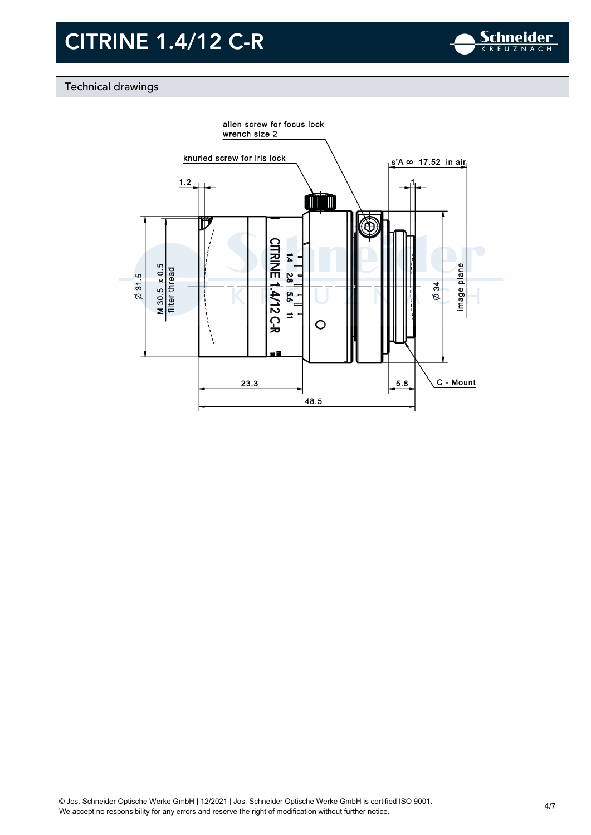

### Technical drawings

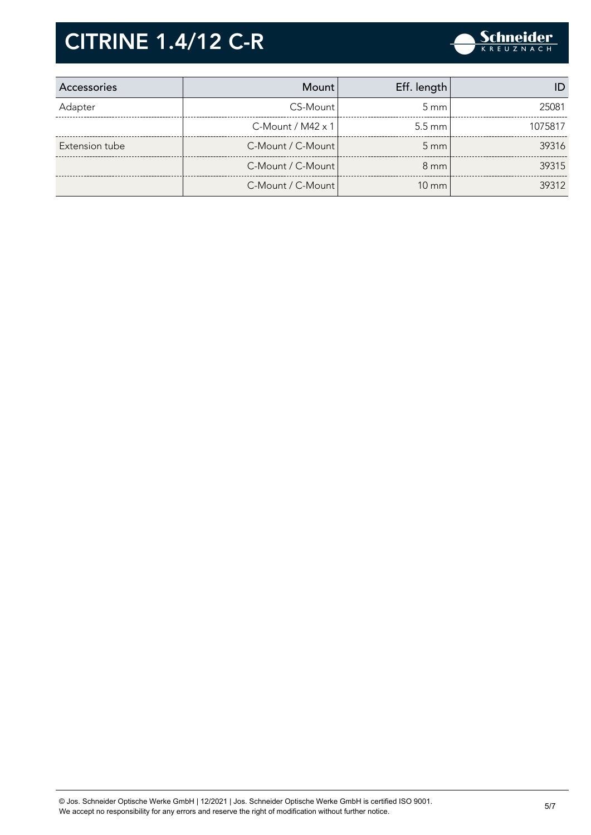

| Accessories    | Mount                    | Eff. length      |         |
|----------------|--------------------------|------------------|---------|
| Adapter        | CS-Mount                 | $5 \text{ mm}$   | 25081   |
|                | C-Mount / $M42 \times 1$ | $5.5 \text{ mm}$ | 1075817 |
| Extension tube | C-Mount / C-Mount        | $5 \, \text{mm}$ | 39316   |
|                | C-Mount / C-Mount        | $8 \text{ mm}$   | 39315   |
|                | C-Mount / C-Mount        | $10 \text{ mm}$  | 39312   |